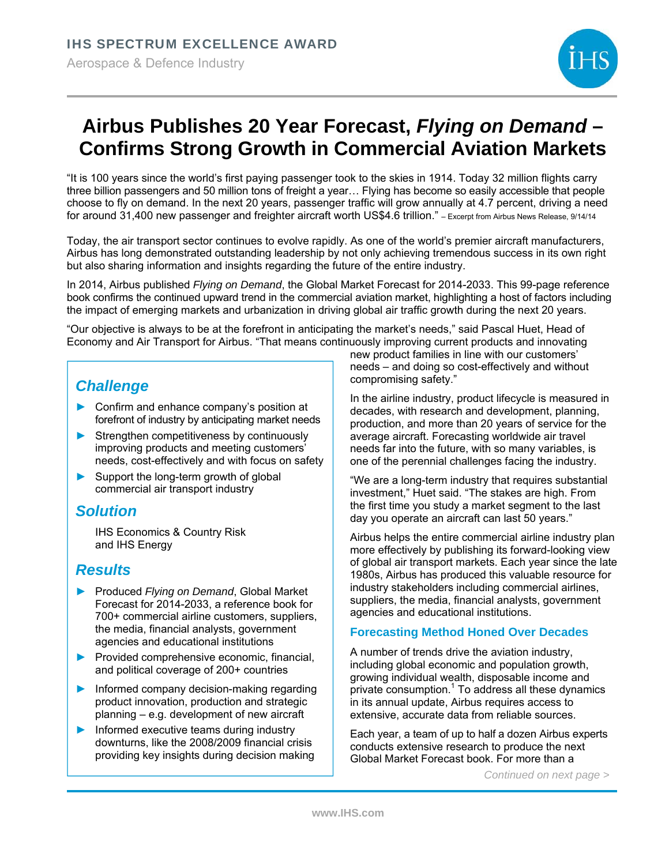

# **Airbus Publishes 20 Year Forecast,** *Flying on Demand* **– Confirms Strong Growth in Commercial Aviation Markets**

"It is 100 years since the world's first paying passenger took to the skies in 1914. Today 32 million flights carry three billion passengers and 50 million tons of freight a year… Flying has become so easily accessible that people choose to fly on demand. In the next 20 years, passenger traffic will grow annually at 4.7 percent, driving a need for around 31,400 new passenger and freighter aircraft worth US\$4.6 trillion." – Excerpt from Airbus News Release, 9/14/14

Today, the air transport sector continues to evolve rapidly. As one of the world's premier aircraft manufacturers, Airbus has long demonstrated outstanding leadership by not only achieving tremendous success in its own right but also sharing information and insights regarding the future of the entire industry.

In 2014, Airbus published *Flying on Demand*, the Global Market Forecast for 2014-2033. This 99-page reference book confirms the continued upward trend in the commercial aviation market, highlighting a host of factors including the impact of emerging markets and urbanization in driving global air traffic growth during the next 20 years.

"Our objective is always to be at the forefront in anticipating the market's needs," said Pascal Huet, Head of Economy and Air Transport for Airbus. "That means continuously improving current products and innovating

# *Challenge*

- ► Confirm and enhance company's position at forefront of industry by anticipating market needs
- Strengthen competitiveness by continuously improving products and meeting customers' needs, cost-effectively and with focus on safety
- ► Support the long-term growth of global commercial air transport industry

## *Solution*

IHS Economics & Country Risk and IHS Energy

## *Results*

- ► Produced *Flying on Demand*, Global Market Forecast for 2014-2033, a reference book for 700+ commercial airline customers, suppliers, the media, financial analysts, government agencies and educational institutions
- ► Provided comprehensive economic, financial, and political coverage of 200+ countries
- Informed company decision-making regarding product innovation, production and strategic planning – e.g. development of new aircraft
- ► Informed executive teams during industry downturns, like the 2008/2009 financial crisis providing key insights during decision making

new product families in line with our customers' needs – and doing so cost-effectively and without compromising safety."

In the airline industry, product lifecycle is measured in decades, with research and development, planning, production, and more than 20 years of service for the average aircraft. Forecasting worldwide air travel needs far into the future, with so many variables, is one of the perennial challenges facing the industry.

"We are a long-term industry that requires substantial investment," Huet said. "The stakes are high. From the first time you study a market segment to the last day you operate an aircraft can last 50 years."

Airbus helps the entire commercial airline industry plan more effectively by publishing its forward-looking view of global air transport markets. Each year since the late 1980s, Airbus has produced this valuable resource for industry stakeholders including commercial airlines, suppliers, the media, financial analysts, government agencies and educational institutions.

## **Forecasting Method Honed Over Decades**

A number of trends drive the aviation industry, including global economic and population growth, growing individual wealth, disposable income and private consumption.<sup>1</sup> To address all these dynamics in its annual update, Airbus requires access to extensive, accurate data from reliable sources.

Each year, a team of up to half a dozen Airbus experts conducts extensive research to produce the next Global Market Forecast book. For more than a

*Continued on next page >*